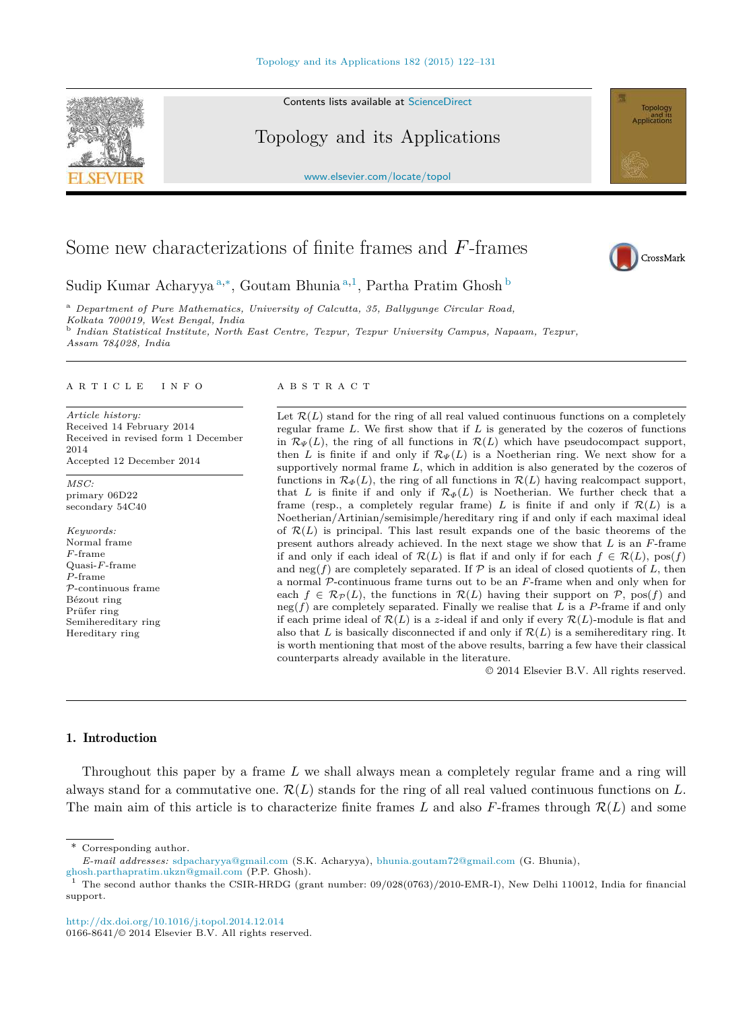

Contents lists available at ScienceDirect

Topology and its Applications

www.elsevier.com/locate/topol

# Some new characterizations of finite frames and *F*-frames



Sudip Kumar Acharyya <sup>a</sup>*,*<sup>∗</sup> , Goutam Bhunia <sup>a</sup>*,*<sup>1</sup> , Partha Pratim Ghosh <sup>b</sup>

<sup>a</sup> *Department of Pure Mathematics, University of Calcutta, 35, Ballygunge Circular Road,*

*Kolkata 700019, West Bengal, India*

b *Indian Statistical Institute, North East Centre, Tezpur, Tezpur University Campus, Napaam, Tezpur, Assam 784028, India*

#### A R T I C L E I N F O A B S T R A C T

*Article history:* Received 14 February 2014 Received in revised form 1 December 2014 Accepted 12 December 2014

*MSC:* primary 06D22 secondary 54C40

*Keywords:* Normal frame *F* -frame Quasi-*F* -frame *P* -frame P-continuous frame Bézout ring Prüfer ring Semihereditary ring Hereditary ring

Let  $\mathcal{R}(L)$  stand for the ring of all real valued continuous functions on a completely regular frame *L*. We first show that if *L* is generated by the cozeros of functions in  $\mathcal{R}_{\Psi}(L)$ , the ring of all functions in  $\mathcal{R}(L)$  which have pseudocompact support, then *L* is finite if and only if  $\mathcal{R}_{\Psi}(L)$  is a Noetherian ring. We next show for a supportively normal frame *L*, which in addition is also generated by the cozeros of functions in  $\mathcal{R}_{\Phi}(L)$ , the ring of all functions in  $\mathcal{R}(L)$  having realcompact support, that *L* is finite if and only if  $\mathcal{R}_{\Phi}(L)$  is Noetherian. We further check that a frame (resp., a completely regular frame) *L* is finite if and only if  $\mathcal{R}(L)$  is a Noetherian/Artinian/semisimple/hereditary ring if and only if each maximal ideal of  $\mathcal{R}(L)$  is principal. This last result expands one of the basic theorems of the present authors already achieved. In the next stage we show that *L* is an *F*-frame if and only if each ideal of  $\mathcal{R}(L)$  is flat if and only if for each  $f \in \mathcal{R}(L)$ , pos(*f*) and neg( $f$ ) are completely separated. If  $P$  is an ideal of closed quotients of  $L$ , then a normal P-continuous frame turns out to be an *F*-frame when and only when for each  $f \in \mathcal{R}_{\mathcal{P}}(L)$ , the functions in  $\mathcal{R}(L)$  having their support on  $\mathcal{P}$ , pos(*f*) and neg(*f*) are completely separated. Finally we realise that *L* is a *P*-frame if and only if each prime ideal of  $\mathcal{R}(L)$  is a *z*-ideal if and only if every  $\mathcal{R}(L)$ -module is flat and also that *L* is basically disconnected if and only if  $\mathcal{R}(L)$  is a semihereditary ring. It is worth mentioning that most of the above results, barring a few have their classical counterparts already available in the literature.

© 2014 Elsevier B.V. All rights reserved.

#### 1. Introduction

Throughout this paper by a frame *L* we shall always mean a completely regular frame and a ring will always stand for a commutative one. R(*L*) stands for the ring of all real valued continuous functions on *L*. The main aim of this article is to characterize finite frames *L* and also *F*-frames through  $\mathcal{R}(L)$  and some

\* Corresponding author.

http://dx.doi.org/10.1016/j.topol.2014.12.014 0166-8641/ $\odot$  2014 Elsevier B.V. All rights reserved.

*E-mail addresses:* sdpacharyya@gmail.com (S.K. Acharyya), bhunia.goutam72@gmail.com (G. Bhunia),

ghosh.parthapratim.ukzn@gmail.com (P.P. Ghosh).

<sup>&</sup>lt;sup>1</sup> The second author thanks the CSIR-HRDG (grant number:  $09/028(0763)/2010$ -EMR-I), New Delhi 110012, India for financial support.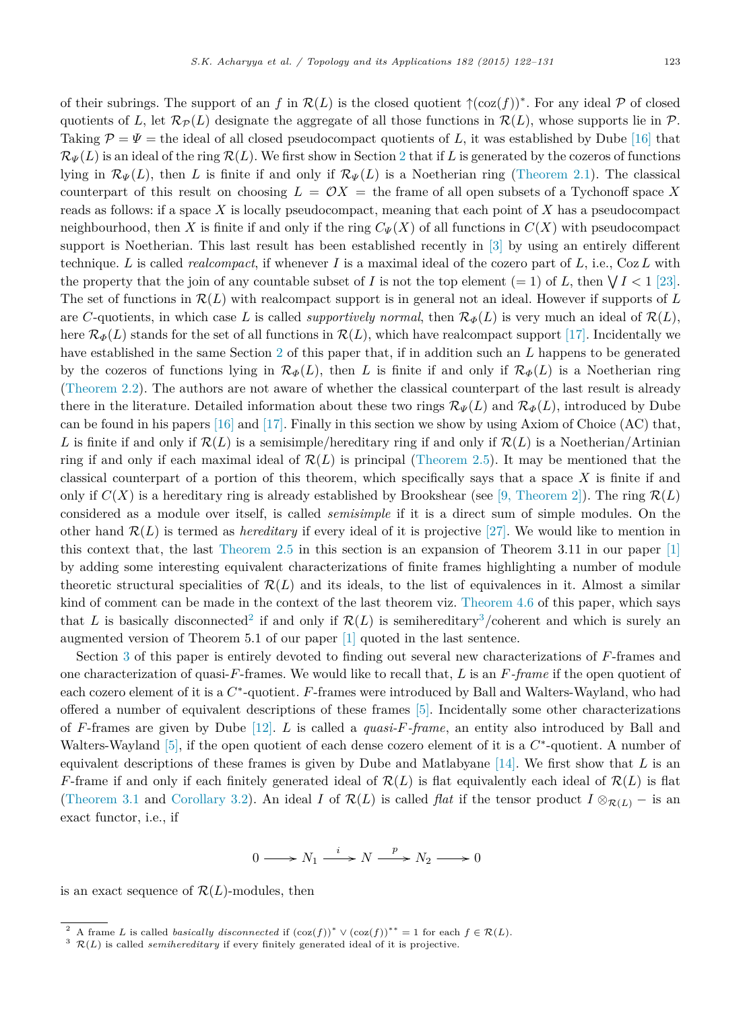of their subrings. The support of an  $f$  in  $\mathcal{R}(L)$  is the closed quotient  $\uparrow$ (coz $(f)$ )<sup>\*</sup>. For any ideal  $\mathcal P$  of closed quotients of *L*, let  $\mathcal{R}_P(L)$  designate the aggregate of all those functions in  $\mathcal{R}(L)$ , whose supports lie in P. Taking  $\mathcal{P} = \Psi$  = the ideal of all closed pseudocompact quotients of L, it was established by Dube [16] that  $\mathcal{R}_{\Psi}(L)$  is an ideal of the ring  $\mathcal{R}(L)$ . We first show in Section 2 that if L is generated by the cozeros of functions lying in  $\mathcal{R}_{\Psi}(L)$ , then *L* is finite if and only if  $\mathcal{R}_{\Psi}(L)$  is a Noetherian ring (Theorem 2.1). The classical counterpart of this result on choosing  $L = \mathcal{O}X =$  the frame of all open subsets of a Tychonoff space X reads as follows: if a space *X* is locally pseudocompact, meaning that each point of *X* has a pseudocompact neighbourhood, then *X* is finite if and only if the ring  $C_{\Psi}(X)$  of all functions in  $C(X)$  with pseudocompact support is Noetherian. This last result has been established recently in [3] by using an entirely different technique. *L* is called *realcompact*, if whenever *I* is a maximal ideal of the cozero part of *L*, i.e., Coz*L* with the property that the join of any countable subset of *I* is not the top element  $(= 1)$  of *L*, then  $\sqrt{I} < 1$  [23]. The set of functions in R(*L*) with realcompact support is in general not an ideal. However if supports of *L* are *C*-quotients, in which case *L* is called *supportively normal*, then  $\mathcal{R}_{\Phi}(L)$  is very much an ideal of  $\mathcal{R}(L)$ , here  $\mathcal{R}_{\Phi}(L)$  stands for the set of all functions in  $\mathcal{R}(L)$ , which have realcompact support [17]. Incidentally we have established in the same Section 2 of this paper that, if in addition such an *L* happens to be generated by the cozeros of functions lying in  $\mathcal{R}_{\Phi}(L)$ , then *L* is finite if and only if  $\mathcal{R}_{\Phi}(L)$  is a Noetherian ring (Theorem 2.2). The authors are not aware of whether the classical counterpart of the last result is already there in the literature. Detailed information about these two rings  $\mathcal{R}_{\Psi}(L)$  and  $\mathcal{R}_{\Phi}(L)$ , introduced by Dube can be found in his papers  $[16]$  and  $[17]$ . Finally in this section we show by using Axiom of Choice  $(AC)$  that, *L* is finite if and only if  $\mathcal{R}(L)$  is a semisimple/hereditary ring if and only if  $\mathcal{R}(L)$  is a Noetherian/Artinian ring if and only if each maximal ideal of  $\mathcal{R}(L)$  is principal (Theorem 2.5). It may be mentioned that the classical counterpart of a portion of this theorem, which specifically says that a space *X* is finite if and only if  $C(X)$  is a hereditary ring is already established by Brookshear (see [9, Theorem 2]). The ring  $\mathcal{R}(L)$ considered as a module over itself, is called *semisimple* if it is a direct sum of simple modules. On the other hand  $\mathcal{R}(L)$  is termed as *hereditary* if every ideal of it is projective [27]. We would like to mention in this context that, the last Theorem 2.5 in this section is an expansion of Theorem 3.11 in our paper [1] by adding some interesting equivalent characterizations of finite frames highlighting a number of module theoretic structural specialities of  $\mathcal{R}(L)$  and its ideals, to the list of equivalences in it. Almost a similar kind of comment can be made in the context of the last theorem viz. Theorem 4.6 of this paper, which says that L is basically disconnected<sup>2</sup> if and only if  $\mathcal{R}(L)$  is semihereditary<sup>3</sup>/coherent and which is surely an augmented version of Theorem 5.1 of our paper [1] quoted in the last sentence.

Section 3 of this paper is entirely devoted to finding out several new characterizations of *F*-frames and one characterization of quasi-*F*-frames. We would like to recall that, *L* is an *F-frame* if the open quotient of each cozero element of it is a  $C^*$ -quotient. *F*-frames were introduced by Ball and Walters-Wayland, who had offered a number of equivalent descriptions of these frames [5]. Incidentally some other characterizations of *F*-frames are given by Dube [12]. *L* is called a *quasi-F-frame*, an entity also introduced by Ball and Walters-Wayland [5], if the open quotient of each dense cozero element of it is a  $C^*$ -quotient. A number of equivalent descriptions of these frames is given by Dube and Matlabyane [14]. We first show that *L* is an *F*-frame if and only if each finitely generated ideal of  $\mathcal{R}(L)$  is flat equivalently each ideal of  $\mathcal{R}(L)$  is flat (Theorem 3.1 and Corollary 3.2). An ideal *I* of  $\mathcal{R}(L)$  is called *flat* if the tensor product  $I \otimes_{\mathcal{R}(L)} -$  is an exact functor, i.e., if

$$
0 \longrightarrow N_1 \xrightarrow{i} N \xrightarrow{p} N_2 \longrightarrow 0
$$

is an exact sequence of  $\mathcal{R}(L)$ -modules, then

A frame *L* is called *basically disconnected* if  $(\cos(f))^* \vee (\cos(f))^*^* = 1$  for each  $f \in \mathcal{R}(L)$ .

 $3 \mathcal{R}(L)$  is called *semihereditary* if every finitely generated ideal of it is projective.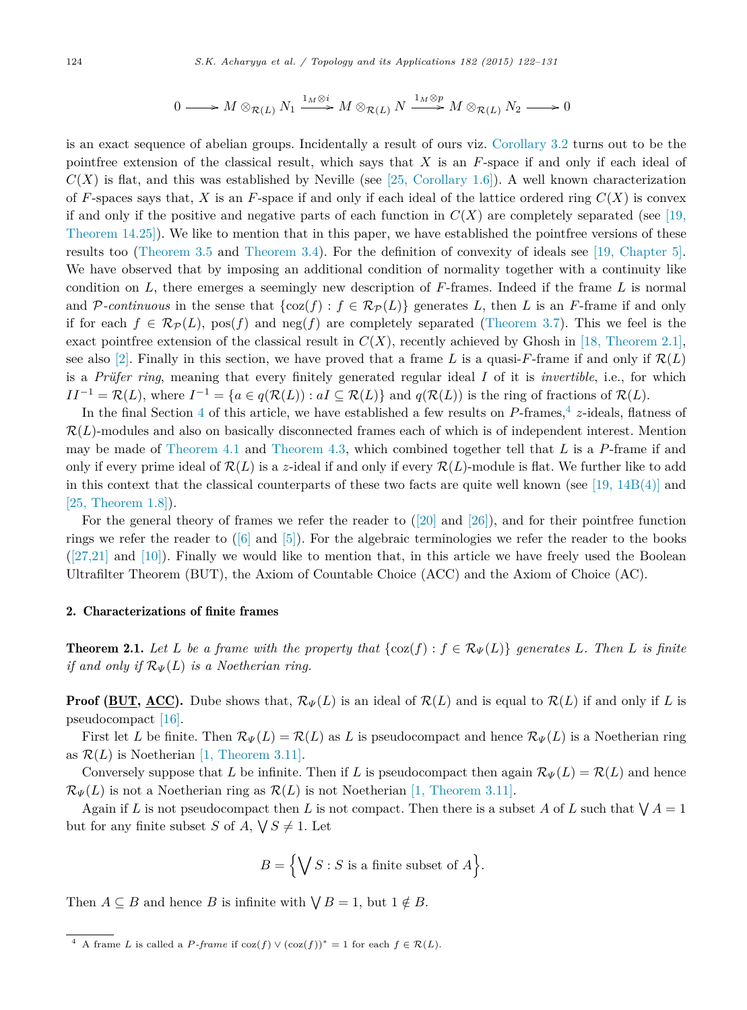$$
0 \longrightarrow M \otimes_{\mathcal{R}(L)} N_1 \xrightarrow{1_M \otimes i} M \otimes_{\mathcal{R}(L)} N \xrightarrow{1_M \otimes p} M \otimes_{\mathcal{R}(L)} N_2 \longrightarrow 0
$$

is an exact sequence of abelian groups. Incidentally a result of ours viz. Corollary 3.2 turns out to be the pointfree extension of the classical result, which says that *X* is an *F*-space if and only if each ideal of  $C(X)$  is flat, and this was established by Neville (see [25, Corollary 1.6]). A well known characterization of *F*-spaces says that, *X* is an *F*-space if and only if each ideal of the lattice ordered ring  $C(X)$  is convex if and only if the positive and negative parts of each function in  $C(X)$  are completely separated (see [19, Theorem 14.25]). We like to mention that in this paper, we have established the pointfree versions of these results too (Theorem 3.5 and Theorem 3.4). For the definition of convexity of ideals see [19, Chapter 5]. We have observed that by imposing an additional condition of normality together with a continuity like condition on *L*, there emerges a seemingly new description of *F*-frames. Indeed if the frame *L* is normal and P-continuous in the sense that  $\{\cos(f) : f \in \mathcal{R}_{\mathcal{P}}(L)\}\$  generates L, then L is an F-frame if and only if for each  $f \in \mathcal{R}_{\mathcal{P}}(L)$ , pos(f) and neg(f) are completely separated (Theorem 3.7). This we feel is the exact pointfree extension of the classical result in  $C(X)$ , recently achieved by Ghosh in [18, Theorem 2.1], see also [2]. Finally in this section, we have proved that a frame L is a quasi-F-frame if and only if  $\mathcal{R}(L)$ is a *Prüfer ring*, meaning that every finitely generated regular ideal *I* of it is *invertible*, i.e., for which  $II^{-1} = \mathcal{R}(L)$ , where  $I^{-1} = \{a \in q(\mathcal{R}(L)) : aI \subseteq \mathcal{R}(L)\}$  and  $q(\mathcal{R}(L))$  is the ring of fractions of  $\mathcal{R}(L)$ .

In the final Section 4 of this article, we have established a few results on P-frames,<sup>4</sup> z-ideals, flatness of  $\mathcal{R}(L)$ -modules and also on basically disconnected frames each of which is of independent interest. Mention may be made of Theorem 4.1 and Theorem 4.3, which combined together tell that *L* is a *P*-frame if and only if every prime ideal of  $\mathcal{R}(L)$  is a *z*-ideal if and only if every  $\mathcal{R}(L)$ -module is flat. We further like to add in this context that the classical counterparts of these two facts are quite well known (see  $[19, 14B(4)]$  and [25, Theorem 1.8]).

For the general theory of frames we refer the reader to  $(20)$  and  $(26)$ ), and for their pointfree function rings we refer the reader to  $([6] \text{ and } [5])$ . For the algebraic terminologies we refer the reader to the books  $(27,21]$  and [10]). Finally we would like to mention that, in this article we have freely used the Boolean Ultrafilter Theorem (BUT), the Axiom of Countable Choice (ACC) and the Axiom of Choice (AC).

# 2. Characterizations of finite frames

**Theorem 2.1.** Let L be a frame with the property that  $\{\cos(f) : f \in \mathcal{R}_{\Psi}(L)\}\$  generates L. Then L is finite *if and only if* R*<sup>Ψ</sup>* (*L*) *is a Noetherian ring.*

**Proof (BUT, ACC).** Dube shows that,  $\mathcal{R}_{\Psi}(L)$  is an ideal of  $\mathcal{R}(L)$  and is equal to  $\mathcal{R}(L)$  if and only if L is pseudocompact [16].

First let *L* be finite. Then  $\mathcal{R}_{\Psi}(L) = \mathcal{R}(L)$  as *L* is pseudocompact and hence  $\mathcal{R}_{\Psi}(L)$  is a Noetherian ring as  $\mathcal{R}(L)$  is Noetherian [1, Theorem 3.11].

Conversely suppose that *L* be infinite. Then if *L* is pseudocompact then again  $\mathcal{R}_{\Psi}(L) = \mathcal{R}(L)$  and hence  $\mathcal{R}_{\Psi}(L)$  is not a Noetherian ring as  $\mathcal{R}(L)$  is not Noetherian [1, Theorem 3.11].

Again if *L* is not pseudocompact then *L* is not compact. Then there is a subset *A* of *L* such that  $\bigvee A = 1$ but for any finite subset *S* of *A*,  $\sqrt{S} \neq 1$ . Let

$$
B = \Big\{ \bigvee S : S \text{ is a finite subset of } A \Big\}.
$$

Then  $A \subseteq B$  and hence *B* is infinite with  $\bigvee B = 1$ , but  $1 \notin B$ .

<sup>&</sup>lt;sup>4</sup> A frame *L* is called a *P*-frame if  $\cos(f) \vee (\cos(f))^* = 1$  for each  $f \in \mathcal{R}(L)$ .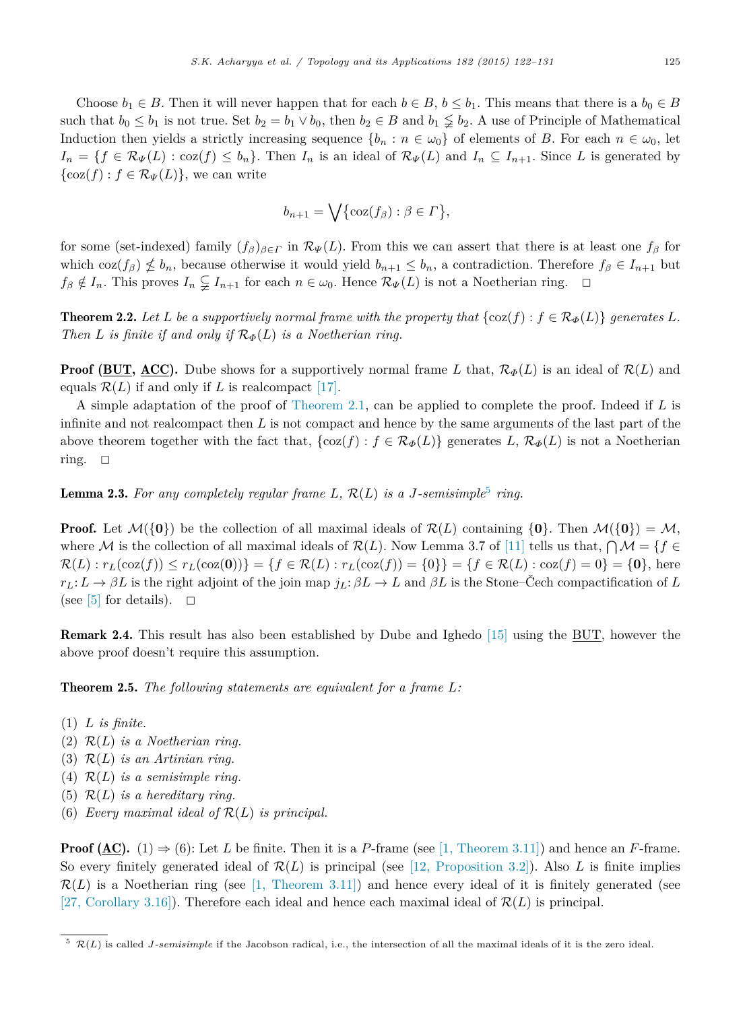Choose  $b_1 \in B$ . Then it will never happen that for each  $b \in B$ ,  $b \leq b_1$ . This means that there is a  $b_0 \in B$ such that  $b_0 \leq b_1$  is not true. Set  $b_2 = b_1 \vee b_0$ , then  $b_2 \in B$  and  $b_1 \nleq b_2$ . A use of Principle of Mathematical Induction then yields a strictly increasing sequence  $\{b_n : n \in \omega_0\}$  of elements of *B*. For each  $n \in \omega_0$ , let  $I_n = \{f \in \mathcal{R}_{\Psi}(L) : \text{coz}(f) \leq b_n\}$ . Then  $I_n$  is an ideal of  $\mathcal{R}_{\Psi}(L)$  and  $I_n \subseteq I_{n+1}$ . Since *L* is generated by  $\{\cos(f) : f \in \mathcal{R}_{\Psi}(L)\},\$  we can write

$$
b_{n+1} = \bigvee \{ \cos(f_{\beta}) : \beta \in \Gamma \},\
$$

for some (set-indexed) family  $(f_\beta)_{\beta \in \Gamma}$  in  $\mathcal{R}_{\Psi}(L)$ . From this we can assert that there is at least one  $f_\beta$  for which coz $(f_\beta) \nleq b_n$ , because otherwise it would yield  $b_{n+1} \leq b_n$ , a contradiction. Therefore  $f_\beta \in I_{n+1}$  but  $f\beta \notin I_n$ . This proves  $I_n \subsetneq I_{n+1}$  for each  $n \in \omega_0$ . Hence  $\mathcal{R}_{\Psi}(L)$  is not a Noetherian ring.  $\Box$ 

**Theorem 2.2.** Let L be a supportively normal frame with the property that  $\{\cos(f) : f \in \mathcal{R}_{\Phi}(L)\}\$  generates L. *Then L is finite if and only if*  $\mathcal{R}_{\Phi}(L)$  *is a Noetherian ring.* 

**Proof (BUT, ACC).** Dube shows for a supportively normal frame *L* that,  $\mathcal{R}_{\phi}(L)$  is an ideal of  $\mathcal{R}(L)$  and equals  $\mathcal{R}(L)$  if and only if *L* is realcompact [17].

A simple adaptation of the proof of Theorem 2.1, can be applied to complete the proof. Indeed if *L* is infinite and not realcompact then *L* is not compact and hence by the same arguments of the last part of the above theorem together with the fact that,  $\{\cos(f) : f \in \mathcal{R}_{\Phi}(L)\}\$  generates  $L, \mathcal{R}_{\Phi}(L)$  is not a Noetherian ring.  $\square$ 

**Lemma 2.3.** For any completely regular frame  $L$ ,  $\mathcal{R}(L)$  is a *J*-semisimple<sup>5</sup> ring.

**Proof.** Let  $\mathcal{M}(\{\mathbf{0}\})$  be the collection of all maximal ideals of  $\mathcal{R}(L)$  containing  $\{\mathbf{0}\}$ . Then  $\mathcal{M}(\{\mathbf{0}\}) = \mathcal{M}$ , where M is the collection of all maximal ideals of  $\mathcal{R}(L)$ . Now Lemma 3.7 of [11] tells us that,  $\bigcap \mathcal{M} = \{f \in L\}$  $\mathcal{R}(L): r_L(\cos(f)) \le r_L(\cos(0)) = \{f \in \mathcal{R}(L): r_L(\cos(f)) = \{0\}\} = \{f \in \mathcal{R}(L): \cos(f) = 0\} = \{0\},\$ here  $r_L: L \to \beta L$  is the right adjoint of the join map  $j_L: \beta L \to L$  and  $\beta L$  is the Stone–Čech compactification of *L* (see [5] for details).  $\square$ 

Remark 2.4. This result has also been established by Dube and Ighedo [15] using the BUT, however the above proof doesn't require this assumption.

Theorem 2.5. *The following statements are equivalent for a frame L:*

- (1) *L is finite.*
- (2) R(*L*) *is a Noetherian ring.*
- (3) R(*L*) *is an Artinian ring.*
- (4)  $\mathcal{R}(L)$  *is a semisimple ring.*
- (5)  $\mathcal{R}(L)$  *is a hereditary ring.*
- (6) *Every maximal ideal of*  $\mathcal{R}(L)$  *is principal.*

**Proof (AC).** (1)  $\Rightarrow$  (6): Let *L* be finite. Then it is a *P*-frame (see [1, Theorem 3.11]) and hence an *F*-frame. So every finitely generated ideal of  $\mathcal{R}(L)$  is principal (see [12, Proposition 3.2]). Also *L* is finite implies  $\mathcal{R}(L)$  is a Noetherian ring (see [1, Theorem 3.11]) and hence every ideal of it is finitely generated (see [27, Corollary 3.16]). Therefore each ideal and hence each maximal ideal of  $\mathcal{R}(L)$  is principal.

 $5 \mathcal{R}(L)$  is called *J*-semisimple if the Jacobson radical, i.e., the intersection of all the maximal ideals of it is the zero ideal.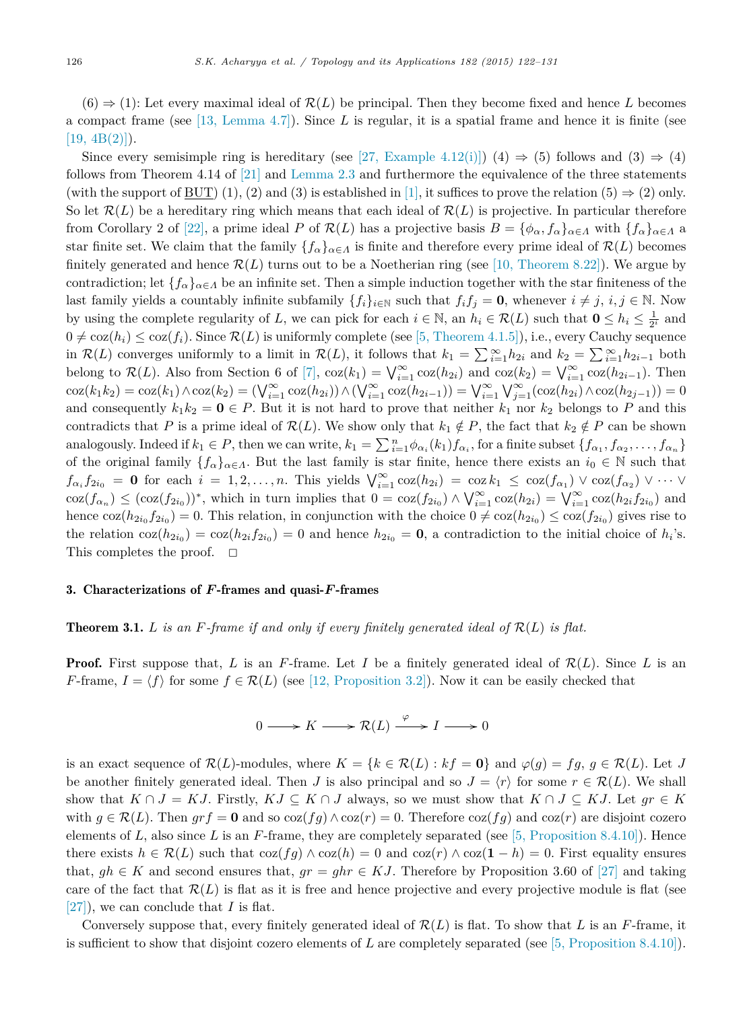$(6) \Rightarrow (1)$ : Let every maximal ideal of  $\mathcal{R}(L)$  be principal. Then they become fixed and hence *L* becomes a compact frame (see [13, Lemma 4.7]). Since *L* is regular, it is a spatial frame and hence it is finite (see  $[19, 4B(2)]$ .

Since every semisimple ring is hereditary (see [27, Example 4.12(i)]) (4)  $\Rightarrow$  (5) follows and (3)  $\Rightarrow$  (4) follows from Theorem 4.14 of [21] and Lemma 2.3 and furthermore the equivalence of the three statements (with the support of BUT) (1), (2) and (3) is established in [1], it suffices to prove the relation (5)  $\Rightarrow$  (2) only. So let  $\mathcal{R}(L)$  be a hereditary ring which means that each ideal of  $\mathcal{R}(L)$  is projective. In particular therefore from Corollary 2 of [22], a prime ideal *P* of  $\mathcal{R}(L)$  has a projective basis  $B = {\phi_{\alpha}, f_{\alpha}}_{\alpha \in \Lambda}$  with  ${f_{\alpha}}_{\alpha \in \Lambda}$  a star finite set. We claim that the family  ${f_\alpha}_{\alpha \in A}$  is finite and therefore every prime ideal of  $\mathcal{R}(L)$  becomes finitely generated and hence  $\mathcal{R}(L)$  turns out to be a Noetherian ring (see [10, Theorem 8.22]). We argue by contradiction; let  ${f_\alpha}_{\alpha\in\Lambda}$  be an infinite set. Then a simple induction together with the star finiteness of the last family yields a countably infinite subfamily  $\{f_i\}_{i\in\mathbb{N}}$  such that  $f_i f_j = \mathbf{0}$ , whenever  $i \neq j$ ,  $i, j \in \mathbb{N}$ . Now by using the complete regularity of *L*, we can pick for each  $i \in \mathbb{N}$ , an  $h_i \in \mathcal{R}(L)$  such that  $\mathbf{0} \leq h_i \leq \frac{1}{2^i}$  and  $0 \neq \cos(h_i) \leq \cos(f_i)$ . Since  $\mathcal{R}(L)$  is uniformly complete (see [5, Theorem 4.1.5]), i.e., every Cauchy sequence in  $\mathcal{R}(L)$  converges uniformly to a limit in  $\mathcal{R}(L)$ , it follows that  $k_1 = \sum_{i=1}^{\infty} h_{2i}$  and  $k_2 = \sum_{i=1}^{\infty} h_{2i-1}$  both belong to  $\mathcal{R}(L)$ . Also from Section 6 of [7],  $\cos(k_1) = \bigvee_{i=1}^{\infty} \cos(h_{2i})$  and  $\cos(k_2) = \bigvee_{i=1}^{\infty} \cos(h_{2i-1})$ . Then  $\cos(k_1 k_2) = \cos(k_1) \wedge \cos(k_2) = (\bigvee_{i=1}^{\infty} \cos(h_{2i})) \wedge (\bigvee_{i=1}^{\infty} \cos(h_{2i-1})) = \bigvee_{i=1}^{\infty} \bigvee_{j=1}^{\infty} (\cos(h_{2i}) \wedge \cos(h_{2j-1})) = 0$ and consequently  $k_1k_2 = \mathbf{0} \in P$ . But it is not hard to prove that neither  $k_1$  nor  $k_2$  belongs to P and this contradicts that *P* is a prime ideal of  $\mathcal{R}(L)$ . We show only that  $k_1 \notin P$ , the fact that  $k_2 \notin P$  can be shown analogously. Indeed if  $k_1 \in P$ , then we can write,  $k_1 = \sum_{i=1}^n \phi_{\alpha_i}(k_1) f_{\alpha_i}$ , for a finite subset  $\{f_{\alpha_1}, f_{\alpha_2}, \ldots, f_{\alpha_n}\}$ of the original family  ${f_\alpha}_{\alpha \in \Lambda}$ . But the last family is star finite, hence there exists an  $i_0 \in \mathbb{N}$  such that  $f_{\alpha_i} f_{2i_0} = \mathbf{0}$  for each  $i = 1, 2, ..., n$ . This yields  $\bigvee_{i=1}^{\infty} \cos(h_{2i}) = \cos k_1 \leq \cos(f_{\alpha_1}) \vee \cos(f_{\alpha_2}) \vee \cdots \vee f_{\alpha_n}$  $\cos(f_{\alpha_n}) \leq (\cos(f_{2i_0}))^*$ , which in turn implies that  $0 = \cos(f_{2i_0}) \wedge \bigvee_{i=1}^{\infty} \cos(h_{2i}) = \bigvee_{i=1}^{\infty} \cos(h_{2i}f_{2i_0})$  and hence  $\cos(h_{2i_0}f_{2i_0}) = 0$ . This relation, in conjunction with the choice  $0 \neq \cos(h_{2i_0}) \leq \cos(f_{2i_0})$  gives rise to the relation  $\cos(h_{2i_0}) = \cos(h_{2i}f_{2i_0}) = 0$  and hence  $h_{2i_0} = \mathbf{0}$ , a contradiction to the initial choice of  $h_i$ 's. This completes the proof.  $\square$ 

### 3. Characterizations of *F*-frames and quasi-*F*-frames

# **Theorem 3.1.**  $L$  is an  $F$ -frame if and only if every finitely generated ideal of  $\mathcal{R}(L)$  is flat.

**Proof.** First suppose that, *L* is an *F*-frame. Let *I* be a finitely generated ideal of  $\mathcal{R}(L)$ . Since *L* is an *F*-frame,  $I = \langle f \rangle$  for some  $f \in \mathcal{R}(L)$  (see [12, Proposition 3.2]). Now it can be easily checked that

$$
0 \longrightarrow K \longrightarrow \mathcal{R}(L) \xrightarrow{\varphi} I \longrightarrow 0
$$

is an exact sequence of  $\mathcal{R}(L)$ -modules, where  $K = \{k \in \mathcal{R}(L) : kf = \mathbf{0}\}\$ and  $\varphi(g) = fg, g \in \mathcal{R}(L)$ . Let *J* be another finitely generated ideal. Then *J* is also principal and so  $J = \langle r \rangle$  for some  $r \in \mathcal{R}(L)$ . We shall show that  $K \cap J = KJ$ . Firstly,  $KJ \subseteq K \cap J$  always, so we must show that  $K \cap J \subseteq KJ$ . Let  $gr \in K$ with  $g \in \mathcal{R}(L)$ . Then  $grf = \mathbf{0}$  and so  $\cos(fg) \wedge \cos(r) = 0$ . Therefore  $\cos(fg)$  and  $\cos(r)$  are disjoint cozero elements of  $L$ , also since  $L$  is an  $F$ -frame, they are completely separated (see [5, Proposition 8.4.10]). Hence there exists  $h \in \mathcal{R}(L)$  such that  $\cos(fg) \wedge \cos(h) = 0$  and  $\cos(r) \wedge \cos(1-h) = 0$ . First equality ensures that,  $gh \in K$  and second ensures that,  $gr = ghr \in KJ$ . Therefore by Proposition 3.60 of [27] and taking care of the fact that  $\mathcal{R}(L)$  is flat as it is free and hence projective and every projective module is flat (see [27]), we can conclude that *I* is flat.

Conversely suppose that, every finitely generated ideal of R(*L*) is flat. To show that *L* is an *F*-frame, it is sufficient to show that disjoint cozero elements of *L* are completely separated (see [5, Proposition 8.4.10]).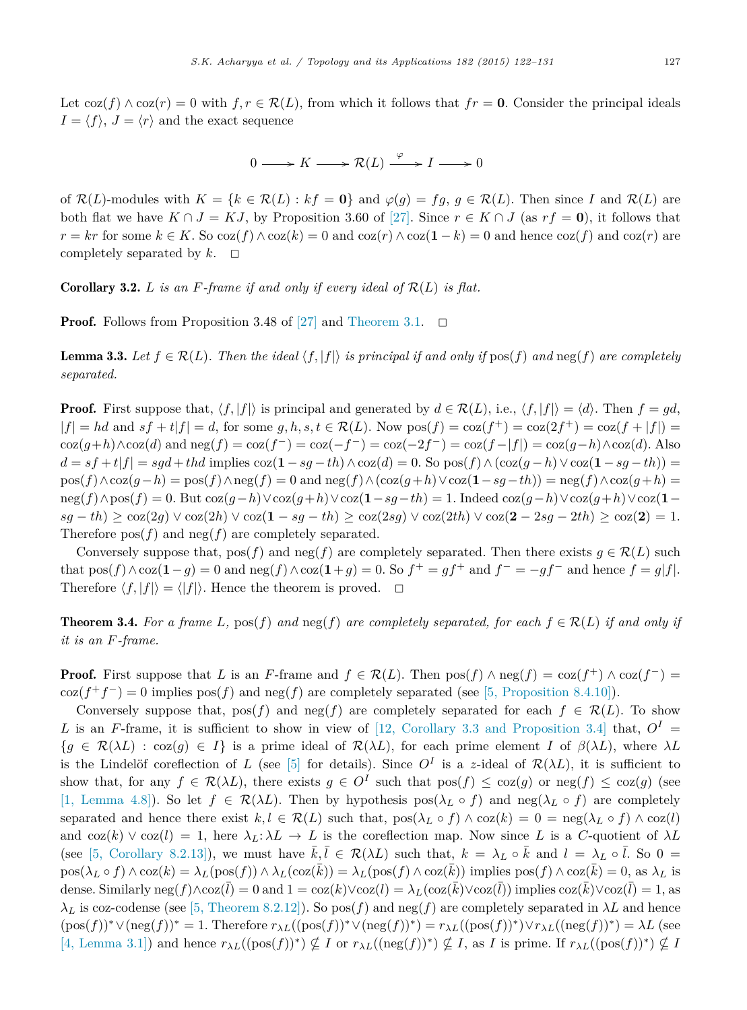Let  $\cos(f) \wedge \cos(r) = 0$  with  $f, r \in \mathcal{R}(L)$ , from which it follows that  $fr = 0$ . Consider the principal ideals  $I = \langle f \rangle$ ,  $J = \langle r \rangle$  and the exact sequence

$$
0 \longrightarrow K \longrightarrow \mathcal{R}(L) \xrightarrow{\varphi} I \longrightarrow 0
$$

of  $\mathcal{R}(L)$ -modules with  $K = \{k \in \mathcal{R}(L) : kf = 0\}$  and  $\varphi(g) = fg, g \in \mathcal{R}(L)$ . Then since *I* and  $\mathcal{R}(L)$  are both flat we have  $K \cap J = KJ$ , by Proposition 3.60 of [27]. Since  $r \in K \cap J$  (as  $rf = 0$ ), it follows that  $r = kr$  for some  $k \in K$ . So  $\cos(f) \wedge \cos(k) = 0$  and  $\cos(r) \wedge \cos(1 - k) = 0$  and hence  $\cos(f)$  and  $\cos(r)$  are completely separated by  $k$ .  $\Box$ 

**Corollary 3.2.** *L is* an  $F$ *-frame if* and only *if* every *ideal* of  $\mathcal{R}(L)$  *is flat.* 

**Proof.** Follows from Proposition 3.48 of [27] and Theorem 3.1.  $\Box$ 

**Lemma 3.3.** Let  $f \in \mathcal{R}(L)$ . Then the ideal  $\langle f, |f| \rangle$  is principal if and only if  $\text{pos}(f)$  and  $\text{neg}(f)$  are completely *separated.*

**Proof.** First suppose that,  $\langle f, |f| \rangle$  is principal and generated by  $d \in \mathcal{R}(L)$ , i.e.,  $\langle f, |f| \rangle = \langle d \rangle$ . Then  $f = gd$ ,  $|f| = hd$  and  $sf + t|f| = d$ , for some  $g, h, s, t \in \mathcal{R}(L)$ . Now  $pos(f) = cos(f^+) = cos(2f^+) = cos(f + |f|) =$  $\cos(g+h) \wedge \cos(d)$  and  $\operatorname{neg}(f) = \cos(f^{-}) = \cos(-f^{-}) = \cos(-2f^{-}) = \cos(f^{-} | f|) = \cos(g^{-} h) \wedge \cos(d)$ . Also  $d = sf + tf|f| = sgd + thd$  implies  $\cos(1 - sq - th) \wedge \cos(d) = 0$ . So  $\cos(f) \wedge (\cos(q - h) \vee \cos(1 - sq - th)) =$ pos(*f*)∧coz(*g*−*h*) = pos(*f*)∧neg(*f*) = 0 and neg(*f*)∧(coz(*g*+*h*)∨coz(**1**−*sg*−*th*)) = neg(*f*)∧coz(*g*+*h*) = neg(*f*)∧pos(*f*) = 0. But coz(*g*−*h*)∨coz(*g*+*h*)∨coz(**1**−*sg*−*th*) = 1. Indeed coz(*g*−*h*)∨coz(*g*+*h*)∨coz(**1**− *sg* − *th*) ≥ coz(2*g*) ∨ coz(2*h*) ∨ coz(1 − *sg* − *th*) ≥ coz(2*sg*) ∨ coz(2*th*) ∨ coz(2 − 2*sg* − 2*th*) ≥ coz(2) = 1. Therefore  $pos(f)$  and  $neg(f)$  are completely separated.

Conversely suppose that,  $pos(f)$  and  $neg(f)$  are completely separated. Then there exists  $g \in \mathcal{R}(L)$  such that  $pos(f) \wedge coz(1-g) = 0$  and  $neg(f) \wedge coz(1+g) = 0$ . So  $f^+ = gf^+$  and  $f^- = -gf^-$  and hence  $f = g|f|$ . Therefore  $\langle f, |f| \rangle = \langle |f| \rangle$ . Hence the theorem is proved.  $\Box$ 

**Theorem 3.4.** For a frame L,  $pos(f)$  and  $neg(f)$  are completely separated, for each  $f \in \mathcal{R}(L)$  if and only if *it is an F-frame.*

**Proof.** First suppose that *L* is an *F*-frame and  $f \in \mathcal{R}(L)$ . Then  $pos(f) \wedge neg(f) = coz(f^+) \wedge coz(f^-)$  $\cos(f^+f^-) = 0$  implies  $\cos(f)$  and  $\operatorname{neg}(f)$  are completely separated (see [5, Proposition 8.4.10]).

Conversely suppose that,  $pos(f)$  and  $neg(f)$  are completely separated for each  $f \in \mathcal{R}(L)$ . To show *L* is an *F*-frame, it is sufficient to show in view of [12, Corollary 3.3 and Proposition 3.4] that,  $O<sup>I</sup>$  =  ${g \in \mathcal{R}(\lambda L) : \text{coz}(g) \in I}$  is a prime ideal of  $\mathcal{R}(\lambda L)$ , for each prime element *I* of  $\beta(\lambda L)$ , where  $\lambda L$ is the Lindelöf coreflection of *L* (see [5] for details). Since  $O^I$  is a *z*-ideal of  $\mathcal{R}(\lambda L)$ , it is sufficient to show that, for any  $f \in \mathcal{R}(\lambda L)$ , there exists  $g \in O^I$  such that  $pos(f) \leq coz(g)$  or  $neg(f) \leq coz(g)$  (see [1, Lemma 4.8]). So let  $f \in \mathcal{R}(\lambda L)$ . Then by hypothesis  $pos(\lambda_L \circ f)$  and  $neg(\lambda_L \circ f)$  are completely separated and hence there exist  $k, l \in \mathcal{R}(L)$  such that,  $pos(\lambda_L \circ f) \wedge coz(k) = 0 = neg(\lambda_L \circ f) \wedge coz(l)$ and  $\cos(k) \vee \cos(l) = 1$ , here  $\lambda_L: \lambda L \to L$  is the coreflection map. Now since L is a C-quotient of  $\lambda L$ (see [5, Corollary 8.2.13]), we must have  $\bar{k}, \bar{l} \in \mathcal{R}(\lambda L)$  such that,  $k = \lambda_L \circ \bar{k}$  and  $l = \lambda_L \circ \bar{l}$ . So 0 =  $pos(\lambda_L \circ f) \wedge coz(k) = \lambda_L (pos(f)) \wedge \lambda_L (coz(k)) = \lambda_L (pos(f) \wedge coz(k))$  implies  $pos(f) \wedge coz(k) = 0$ , as  $\lambda_L$  is dense. Similarly  $\text{neg}(f) \wedge \text{coz}(\overline{l}) = 0$  and  $1 = \text{coz}(k) \vee \text{coz}(l) = \lambda_L(\text{coz}(\overline{k}) \vee \text{coz}(\overline{l}))$  implies  $\text{coz}(k) \vee \text{coz}(l) = 1$ , as  $\lambda_L$  is coz-codense (see [5, Theorem 8.2.12]). So pos(*f*) and neg(*f*) are completely separated in  $\lambda L$  and hence  $(\text{pos}(f))^* \vee (\text{neg}(f))^* = 1$ . Therefore  $r_{\lambda L}((\text{pos}(f))^*) \vee (\text{neg}(f))^*) = r_{\lambda L}((\text{pos}(f))^*) \vee r_{\lambda L}((\text{neg}(f))^*) = \lambda L$  (see  $[4, \text{ Lemma 3.1}]\)$  and hence  $r_{\lambda L}((\text{pos}(f))^*) \nsubseteq I$  or  $r_{\lambda L}((\text{neg}(f))^*) \nsubseteq I$ , as *I* is prime. If  $r_{\lambda L}((\text{pos}(f))^*) \nsubseteq I$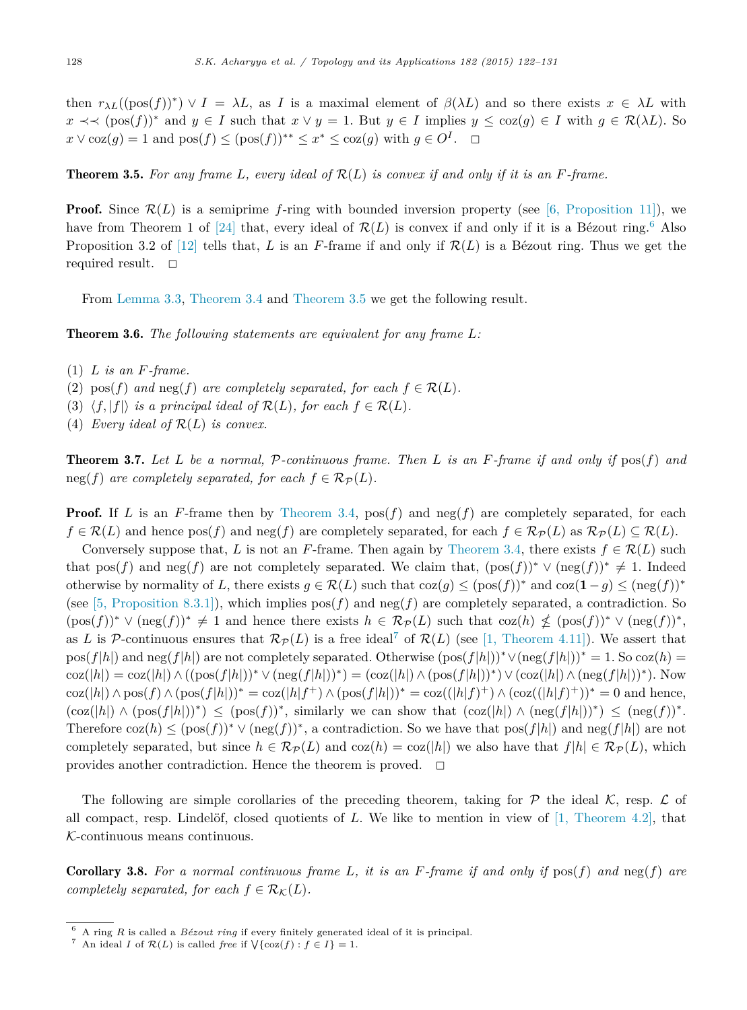then  $r_{\lambda L}((\text{pos}(f))^*) \vee I = \lambda L$ , as *I* is a maximal element of  $\beta(\lambda L)$  and so there exists  $x \in \lambda L$  with *x* ≺  $\prec$  (pos(*f*))<sup>\*</sup> and *y* ∈ *I* such that *x* ∨ *y* = 1. But *y* ∈ *I* implies *y* ≤ coz(*g*) ∈ *I* with *g* ∈ R( $\lambda L$ ). So  $x \vee \text{coz}(g) = 1$  and  $\text{pos}(f) \leq (\text{pos}(f))^{**} \leq x^* \leq \text{coz}(g)$  with  $g \in O^I$ .  $\Box$ 

**Theorem 3.5.** For any frame L, every ideal of  $\mathcal{R}(L)$  is convex if and only if it is an F-frame.

**Proof.** Since  $\mathcal{R}(L)$  is a semiprime *f*-ring with bounded inversion property (see [6, Proposition 11]), we have from Theorem 1 of [24] that, every ideal of  $\mathcal{R}(L)$  is convex if and only if it is a Bézout ring.<sup>6</sup> Also Proposition 3.2 of  $[12]$  tells that, *L* is an *F*-frame if and only if  $\mathcal{R}(L)$  is a Bézout ring. Thus we get the required result.  $\square$ 

From Lemma 3.3, Theorem 3.4 and Theorem 3.5 we get the following result.

Theorem 3.6. *The following statements are equivalent for any frame L:*

- (1) *L is an F-frame.*
- (2)  $\text{pos}(f)$  *and*  $\text{neg}(f)$  *are completely separated, for each*  $f \in \mathcal{R}(L)$ *.*
- (3)  $\langle f, |f| \rangle$  *is a principal ideal of*  $\mathcal{R}(L)$ *, for each*  $f \in \mathcal{R}(L)$ *.*
- (4) *Every ideal* of  $\mathcal{R}(L)$  *is convex.*

**Theorem 3.7.** Let L be a normal, P-continuous frame. Then L is an F-frame if and only if  $pos(f)$  and  $\text{neg}(f)$  *are completely separated, for each*  $f \in \mathcal{R}_{\mathcal{P}}(L)$ *.* 

**Proof.** If *L* is an *F*-frame then by Theorem 3.4,  $pos(f)$  and  $neg(f)$  are completely separated, for each  $f \in \mathcal{R}(L)$  and hence  $pos(f)$  and  $neg(f)$  are completely separated, for each  $f \in \mathcal{R}_{\mathcal{P}}(L)$  as  $\mathcal{R}_{\mathcal{P}}(L) \subseteq \mathcal{R}(L)$ .

Conversely suppose that, *L* is not an *F*-frame. Then again by Theorem 3.4, there exists  $f \in \mathcal{R}(L)$  such that pos(*f*) and neg(*f*) are not completely separated. We claim that,  $(\text{pos}(f))^* \vee (\text{neg}(f))^* \neq 1$ . Indeed otherwise by normality of *L*, there exists  $g \in \mathcal{R}(L)$  such that  $\cos(q) \leq (\cos(f))^*$  and  $\cos(1-q) \leq (\log(f))^*$ (see [5, Proposition 8.3.1]), which implies  $pos(f)$  and  $neg(f)$  are completely separated, a contradiction. So  $(\text{pos}(f))^* \vee (\text{neg}(f))^* \neq 1$  and hence there exists  $h \in \mathcal{R}_{\mathcal{P}}(L)$  such that  $\text{coz}(h) \nleq (\text{pos}(f))^* \vee (\text{neg}(f))^*$ , as *L* is P-continuous ensures that  $\mathcal{R}_{\mathcal{P}}(L)$  is a free ideal<sup>7</sup> of  $\mathcal{R}(L)$  (see [1, Theorem 4.11]). We assert that pos( $f|h|$ ) and neg( $f|h|$ ) are not completely separated. Otherwise  $(\text{pos}(f|h|))^* \vee (\text{neg}(f|h|))^* = 1$ . So coz( $h$ ) =  $\cos(|h|) = \cos(|h|) \wedge ((\cos(f|h|))^*) \vee (\operatorname{neg}(f|h|))^*) = (\cos(|h|) \wedge (\cos(f|h|))^*) \vee (\cos(|h|) \wedge (\operatorname{neg}(f|h|))^*)$ . Now  $\cos(|h|) \wedge \cos(f) \wedge (\cos(f|h|))^* = \cos(|h|f^+) \wedge (\cos(f|h|))^* = \cos((|h|f)^+) \wedge (\cos((|h|f)^+))^* = 0$  and hence,  $(\cos(|h|) \wedge (\cos(f|h|))^*) \leq (\cos(f))^*$ , similarly we can show that  $(\cos(|h|) \wedge (\log(f|h|))^*) \leq (\log(f))^*$ . Therefore  $\cos(h) \leq (\cos(f))^* \vee (\text{neg}(f))^*$ , a contradiction. So we have that  $\cos(f|h|)$  and  $\text{neg}(f|h|)$  are not completely separated, but since  $h \in \mathcal{R}_{\mathcal{P}}(L)$  and  $\cos(h) = \cos(|h|)$  we also have that  $f|h| \in \mathcal{R}_{\mathcal{P}}(L)$ , which provides another contradiction. Hence the theorem is proved.  $\Box$ 

The following are simple corollaries of the preceding theorem, taking for  $P$  the ideal K, resp.  $\mathcal L$  of all compact, resp. Lindelöf, closed quotients of *L*. We like to mention in view of [1, Theorem 4.2], that K-continuous means continuous.

**Corollary 3.8.** For a normal continuous frame L, it is an F-frame if and only if  $pos(f)$  and  $neg(f)$  are *completely separated, for each*  $f \in \mathcal{R}_{\mathcal{K}}(L)$ *.* 

<sup>6</sup> A ring *R* is called a *Bézout ring* if every finitely generated ideal of it is principal.

<sup>&</sup>lt;sup>7</sup> An ideal *I* of  $\mathcal{R}(L)$  is called *free* if  $\sqrt{\cos(f)} : f \in I$  = 1.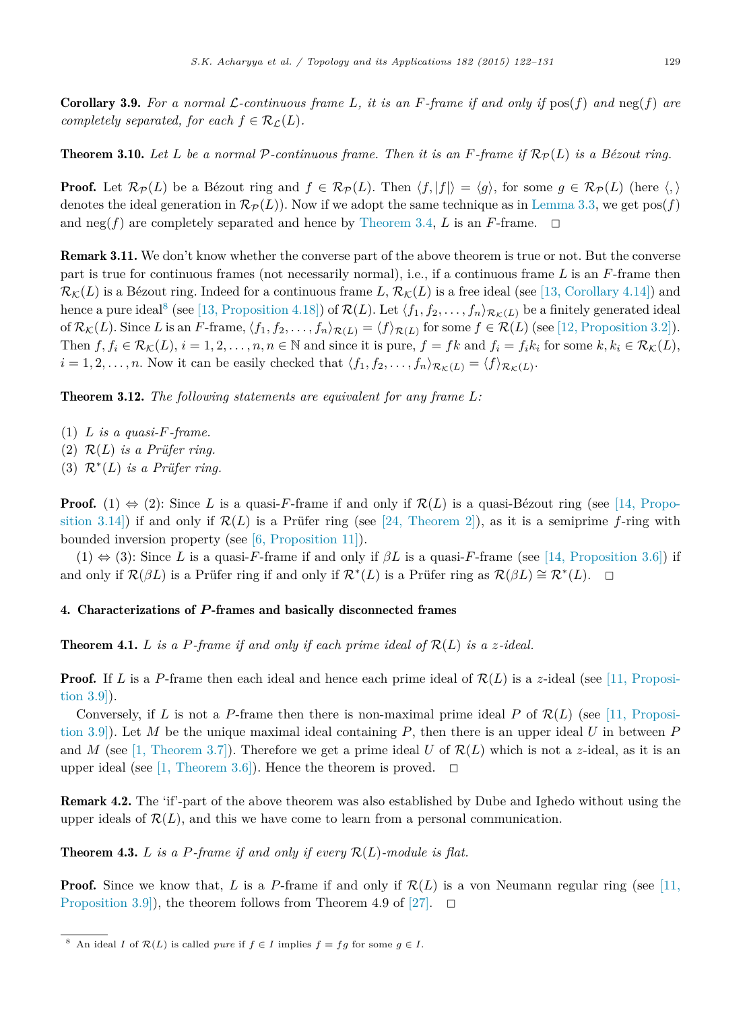**Corollary 3.9.** For a normal L-continuous frame L, it is an F-frame if and only if  $\text{pos}(f)$  and  $\text{neg}(f)$  are *completely separated, for each*  $f \in \mathcal{R}_\mathcal{L}(L)$ *.* 

**Theorem 3.10.** Let L be a normal P-continuous frame. Then it is an F-frame if  $\mathcal{R}_{\mathcal{P}}(L)$  is a Bézout ring.

**Proof.** Let  $\mathcal{R}_{\mathcal{P}}(L)$  be a Bézout ring and  $f \in \mathcal{R}_{\mathcal{P}}(L)$ . Then  $\langle f, |f| \rangle = \langle g \rangle$ , for some  $g \in \mathcal{R}_{\mathcal{P}}(L)$  (here  $\langle , \rangle$ ) denotes the ideal generation in  $\mathcal{R}_{\mathcal{P}}(L)$ ). Now if we adopt the same technique as in Lemma 3.3, we get pos(f) and  $\text{neg}(f)$  are completely separated and hence by Theorem 3.4, *L* is an *F*-frame.  $\Box$ 

Remark 3.11. We don't know whether the converse part of the above theorem is true or not. But the converse part is true for continuous frames (not necessarily normal), i.e., if a continuous frame *L* is an *F*-frame then  $\mathcal{R}_{\mathcal{K}}(L)$  is a Bézout ring. Indeed for a continuous frame L,  $\mathcal{R}_{\mathcal{K}}(L)$  is a free ideal (see [13, Corollary 4.14]) and  $\mathcal{B}$  hence a pure ideal<sup>8</sup> (see [13, Proposition 4.18]) of  $\mathcal{R}(L)$ . Let  $\langle f_1, f_2, \ldots, f_n \rangle_{\mathcal{R}_{\mathcal{K}}(L)}$  be a finitely generated ideal  $\inf \mathcal{R}_{\mathcal{K}}(L)$ . Since *L* is an *F*-frame,  $\langle f_1, f_2, \ldots, f_n \rangle_{\mathcal{R}(L)} = \langle f \rangle_{\mathcal{R}(L)}$  for some  $f \in \mathcal{R}(L)$  (see [12, Proposition 3.2]). Then  $f, f_i \in \mathcal{R}_{\mathcal{K}}(L), i = 1, 2, ..., n, n \in \mathbb{N}$  and since it is pure,  $f = fk$  and  $f_i = f_ik_i$  for some  $k, k_i \in \mathcal{R}_{\mathcal{K}}(L)$ ,  $i = 1, 2, \ldots, n$ . Now it can be easily checked that  $\langle f_1, f_2, \ldots, f_n \rangle_{\mathcal{R}_{\mathcal{K}}(L)} = \langle f \rangle_{\mathcal{R}_{\mathcal{K}}(L)}$ .

Theorem 3.12. *The following statements are equivalent for any frame L:*

- $(1)$  *L is a quasi-F*-frame.
- (2)  $\mathcal{R}(L)$  *is a Prüfer ring.*
- (3) R<sup>∗</sup> (*L*) *is a Prüfer ring.*

**Proof.** (1)  $\Leftrightarrow$  (2): Since *L* is a quasi-*F*-frame if and only if  $\mathcal{R}(L)$  is a quasi-Bézout ring (see [14, Proposition 3.14) if and only if  $\mathcal{R}(L)$  is a Prüfer ring (see [24, Theorem 2]), as it is a semiprime *f*-ring with bounded inversion property (see [6, Proposition 11]).

(1)  $\Leftrightarrow$  (3): Since *L* is a quasi-*F*-frame if and only if  $\beta L$  is a quasi-*F*-frame (see [14, Proposition 3.6]) if and only if  $\mathcal{R}(\beta L)$  is a Prüfer ring if and only if  $\mathcal{R}^*(L)$  is a Prüfer ring as  $\mathcal{R}(\beta L) \cong \mathcal{R}^*(L)$ .  $\Box$ 

## 4. Characterizations of *P* -frames and basically disconnected frames

**Theorem 4.1.**  $L$  is a  $P$ -frame if and only if each prime ideal of  $\mathcal{R}(L)$  is a  $z$ -ideal.

**Proof.** If L is a P-frame then each ideal and hence each prime ideal of  $\mathcal{R}(L)$  is a z-ideal (see [11, Proposition 3.9]).

Conversely, if L is not a P-frame then there is non-maximal prime ideal P of  $\mathcal{R}(L)$  (see [11, Proposition 3.9]). Let *M* be the unique maximal ideal containing *P*, then there is an upper ideal *U* in between *P* and *M* (see [1, Theorem 3.7]). Therefore we get a prime ideal *U* of  $\mathcal{R}(L)$  which is not a *z*-ideal, as it is an upper ideal (see [1, Theorem 3.6]). Hence the theorem is proved.  $\Box$ 

Remark 4.2. The 'if'-part of the above theorem was also established by Dube and Ighedo without using the upper ideals of  $\mathcal{R}(L)$ , and this we have come to learn from a personal communication.

**Theorem 4.3.** *L is a P*-frame *if* and only *if* every  $\mathcal{R}(L)$ -module *is flat.* 

**Proof.** Since we know that, *L* is a *P*-frame if and only if  $\mathcal{R}(L)$  is a von Neumann regular ring (see [11, Proposition 3.9), the theorem follows from Theorem 4.9 of  $|27|$ .  $\Box$ 

<sup>&</sup>lt;sup>8</sup> An ideal *I* of  $\mathcal{R}(L)$  is called *pure* if  $f \in I$  implies  $f = fg$  for some  $g \in I$ .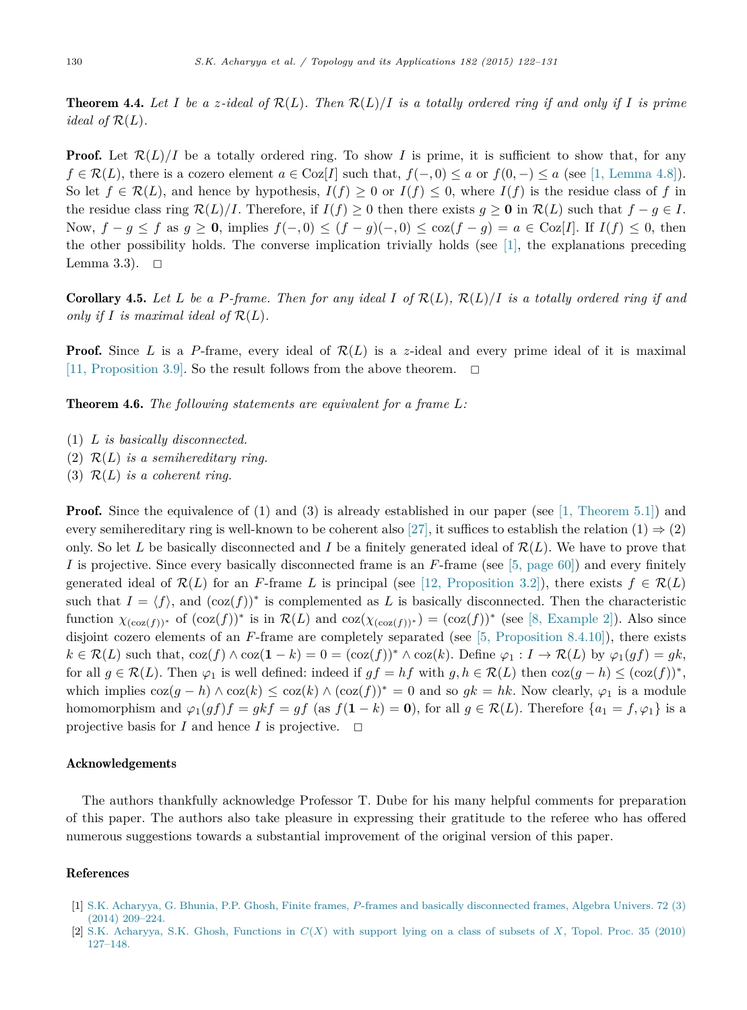**Theorem 4.4.** Let I be a z-ideal of  $\mathcal{R}(L)$ . Then  $\mathcal{R}(L)/I$  is a totally ordered ring if and only if I is prime *ideal of*  $\mathcal{R}(L)$ *.* 

**Proof.** Let  $\mathcal{R}(L)/I$  be a totally ordered ring. To show *I* is prime, it is sufficient to show that, for any *f* ∈  $\mathcal{R}(L)$ , there is a cozero element  $a \in \text{Coz}[I]$  such that,  $f(-,0) \le a$  or  $f(0,-) \le a$  (see [1, Lemma 4.8]). So let  $f \in \mathcal{R}(L)$ , and hence by hypothesis,  $I(f) \geq 0$  or  $I(f) \leq 0$ , where  $I(f)$  is the residue class of *f* in the residue class ring  $\mathcal{R}(L)/I$ . Therefore, if  $I(f) \geq 0$  then there exists  $g \geq 0$  in  $\mathcal{R}(L)$  such that  $f - g \in I$ . Now,  $f - g \le f$  as  $g \ge 0$ , implies  $f(-, 0) \le (f - g)(-, 0) \le \cos(f - g) = a \in \text{Coz}[I]$ . If  $I(f) \le 0$ , then the other possibility holds. The converse implication trivially holds (see  $[1]$ , the explanations preceding Lemma 3.3).  $\Box$ 

**Corollary 4.5.** Let L be a P-frame. Then for any ideal I of  $\mathcal{R}(L)$ ,  $\mathcal{R}(L)/I$  is a totally ordered ring if and *only if I is maximal ideal of*  $\mathcal{R}(L)$ *.* 

**Proof.** Since L is a P-frame, every ideal of  $\mathcal{R}(L)$  is a z-ideal and every prime ideal of it is maximal [11, Proposition 3.9]. So the result follows from the above theorem.  $\Box$ 

Theorem 4.6. *The following statements are equivalent for a frame L:*

- (1) *L is basically disconnected.*
- $(2)$   $\mathcal{R}(L)$  *is a semihereditary ring.*
- (3)  $\mathcal{R}(L)$  *is a coherent ring.*

**Proof.** Since the equivalence of (1) and (3) is already established in our paper (see [1, Theorem 5.1]) and every semihereditary ring is well-known to be coherent also [27], it suffices to establish the relation  $(1) \Rightarrow (2)$ only. So let L be basically disconnected and I be a finitely generated ideal of  $\mathcal{R}(L)$ . We have to prove that *I* is projective. Since every basically disconnected frame is an *F*-frame (see [5, page 60]) and every finitely generated ideal of  $\mathcal{R}(L)$  for an *F*-frame *L* is principal (see [12, Proposition 3.2]), there exists  $f \in \mathcal{R}(L)$ such that  $I = \langle f \rangle$ , and  $(\cos(f))^*$  is complemented as L is basically disconnected. Then the characteristic function  $\chi_{(\cos(f))^*}$  of  $(\cos(f))^*$  is in  $\mathcal{R}(L)$  and  $\cos(\chi_{(\cos(f))^*}) = (\cos(f))^*$  (see [8, Example 2]). Also since disjoint cozero elements of an *F*-frame are completely separated (see [5, Proposition 8.4.10]), there exists  $k \in \mathcal{R}(L)$  such that,  $\cos(f) \wedge \cos(1 - k) = 0 = (\cos(f))^* \wedge \cos(k)$ . Define  $\varphi_1 : I \to \mathcal{R}(L)$  by  $\varphi_1(gf) = gk$ , for all  $g \in \mathcal{R}(L)$ . Then  $\varphi_1$  is well defined: indeed if  $gf = hf$  with  $g, h \in \mathcal{R}(L)$  then  $\cos(g - h) \leq (\cos(f))^*$ , which implies  $\cos(q - h) \wedge \cos(k) \leq \cos(k) \wedge (\cos(f))^* = 0$  and so  $gk = hk$ . Now clearly,  $\varphi_1$  is a module homomorphism and  $\varphi_1(gf)f = gkf = gf$  (as  $f(1-k) = 0$ ), for all  $g \in \mathcal{R}(L)$ . Therefore  $\{a_1 = f, \varphi_1\}$  is a projective basis for  $I$  and hence  $I$  is projective.  $\Box$ 

#### Acknowledgements

The authors thankfully acknowledge Professor T. Dube for his many helpful comments for preparation of this paper. The authors also take pleasure in expressing their gratitude to the referee who has offered numerous suggestions towards a substantial improvement of the original version of this paper.

# References

- [1] S.K. Acharyya, G. Bhunia, P.P. Ghosh, Finite frames, *P*-frames and basically disconnected frames, Algebra Univers. 72 (3) (2014) 209–224.
- [2] S.K. Acharyya, S.K. Ghosh, Functions in *C*(*X*) with support lying on a class of subsets of *X*, Topol. Proc. 35 (2010) 127–148.